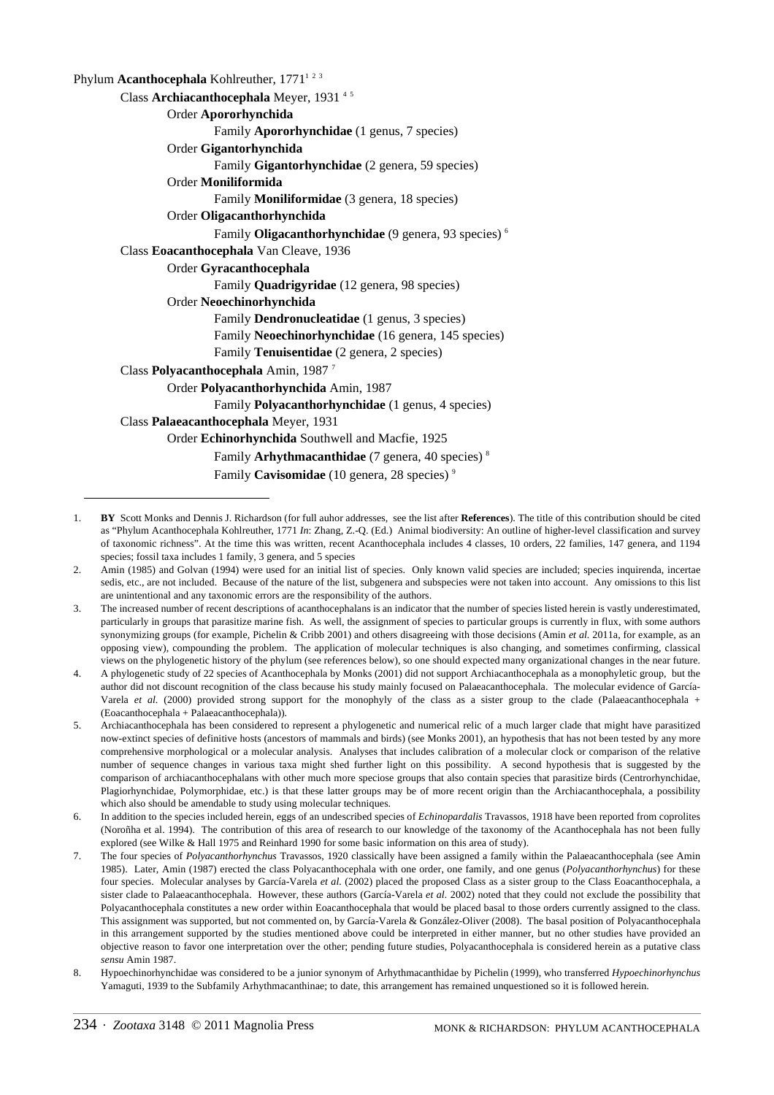| Phylum <b>Acanthocephala</b> Kohlreuther, 1771 <sup>123</sup>    |
|------------------------------------------------------------------|
| Class Archiacanthocephala Meyer, 1931 <sup>45</sup>              |
| Order Apororhynchida                                             |
| Family Apororhynchidae (1 genus, 7 species)                      |
| Order Gigantorhynchida                                           |
| Family Gigantorhynchidae (2 genera, 59 species)                  |
| Order Moniliformida                                              |
| Family <b>Moniliformidae</b> (3 genera, 18 species)              |
| Order Oligacanthorhynchida                                       |
| Family Oligacanthorhynchidae (9 genera, 93 species) <sup>6</sup> |
| Class Eoacanthocephala Van Cleave, 1936                          |
| Order Gyracanthocephala                                          |
| Family Quadrigyridae (12 genera, 98 species)                     |
| Order Neoechinorhynchida                                         |
| Family Dendronucleatidae (1 genus, 3 species)                    |
| Family Neoechinorhynchidae (16 genera, 145 species)              |
| Family Tenuisentidae (2 genera, 2 species)                       |
| Class Polyacanthocephala Amin, 1987 <sup>7</sup>                 |
| Order Polyacanthorhynchida Amin, 1987                            |
| Family Polyacanthorhynchidae (1 genus, 4 species)                |
| Class Palaeacanthocephala Meyer, 1931                            |
| Order Echinorhynchida Southwell and Macfie, 1925                 |
| Family Arhythmacanthidae (7 genera, 40 species) $8$              |
| Family Cavisomidae (10 genera, 28 species) <sup>9</sup>          |

<sup>1.</sup> **BY** Scott Monks and Dennis J. Richardson (for full auhor addresses, see the list after **References**). The title of this contribution should be cited as "Phylum Acanthocephala Kohlreuther, 1771 *In*: Zhang, Z.-Q. (Ed.) Animal biodiversity: An outline of higher-level classification and survey of taxonomic richness". At the time this was written, recent Acanthocephala includes 4 classes, 10 orders, 22 families, 147 genera, and 1194 species; fossil taxa includes 1 family, 3 genera, and 5 species

<sup>2.</sup> Amin (1985) and Golvan (1994) were used for an initial list of species. Only known valid species are included; species inquirenda, incertae sedis, etc., are not included. Because of the nature of the list, subgenera and subspecies were not taken into account. Any omissions to this list are unintentional and any taxonomic errors are the responsibility of the authors.

<sup>3.</sup> The increased number of recent descriptions of acanthocephalans is an indicator that the number of species listed herein is vastly underestimated, particularly in groups that parasitize marine fish. As well, the assignment of species to particular groups is currently in flux, with some authors synonymizing groups (for example, Pichelin & Cribb 2001) and others disagreeing with those decisions (Amin *et al.* 2011a, for example, as an opposing view), compounding the problem. The application of molecular techniques is also changing, and sometimes confirming, classical views on the phylogenetic history of the phylum (see references below), so one should expected many organizational changes in the near future.

<sup>4.</sup> A phylogenetic study of 22 species of Acanthocephala by Monks (2001) did not support Archiacanthocephala as a monophyletic group, but the author did not discount recognition of the class because his study mainly focused on Palaeacanthocephala. The molecular evidence of García-Varela *et al.* (2000) provided strong support for the monophyly of the class as a sister group to the clade (Palaeacanthocephala + (Eoacanthocephala + Palaeacanthocephala)).

<sup>5.</sup> Archiacanthocephala has been considered to represent a phylogenetic and numerical relic of a much larger clade that might have parasitized now-extinct species of definitive hosts (ancestors of mammals and birds) (see Monks 2001), an hypothesis that has not been tested by any more comprehensive morphological or a molecular analysis. Analyses that includes calibration of a molecular clock or comparison of the relative number of sequence changes in various taxa might shed further light on this possibility. A second hypothesis that is suggested by the comparison of archiacanthocephalans with other much more speciose groups that also contain species that parasitize birds (Centrorhynchidae, Plagiorhynchidae, Polymorphidae, etc.) is that these latter groups may be of more recent origin than the Archiacanthocephala, a possibility which also should be amendable to study using molecular techniques.

<sup>6.</sup> In addition to the species included herein, eggs of an undescribed species of *Echinopardalis* Travassos, 1918 have been reported from coprolites (Noroñha et al. 1994). The contribution of this area of research to our knowledge of the taxonomy of the Acanthocephala has not been fully explored (see Wilke & Hall 1975 and Reinhard 1990 for some basic information on this area of study).

<sup>7.</sup> The four species of *Polyacanthorhynchus* Travassos, 1920 classically have been assigned a family within the Palaeacanthocephala (see Amin 1985). Later, Amin (1987) erected the class Polyacanthocephala with one order, one family, and one genus (*Polyacanthorhynchus*) for these four species. Molecular analyses by García-Varela *et al.* (2002) placed the proposed Class as a sister group to the Class Eoacanthocephala, a sister clade to Palaeacanthocephala. However, these authors (García-Varela *et al.* 2002) noted that they could not exclude the possibility that Polyacanthocephala constitutes a new order within Eoacanthocephala that would be placed basal to those orders currently assigned to the class. This assignment was supported, but not commented on, by García-Varela & González-Oliver (2008). The basal position of Polyacanthocephala in this arrangement supported by the studies mentioned above could be interpreted in either manner, but no other studies have provided an objective reason to favor one interpretation over the other; pending future studies, Polyacanthocephala is considered herein as a putative class *sensu* Amin 1987.

<sup>8.</sup> Hypoechinorhynchidae was considered to be a junior synonym of Arhythmacanthidae by Pichelin (1999), who transferred *Hypoechinorhynchus* Yamaguti, 1939 to the Subfamily Arhythmacanthinae; to date, this arrangement has remained unquestioned so it is followed herein.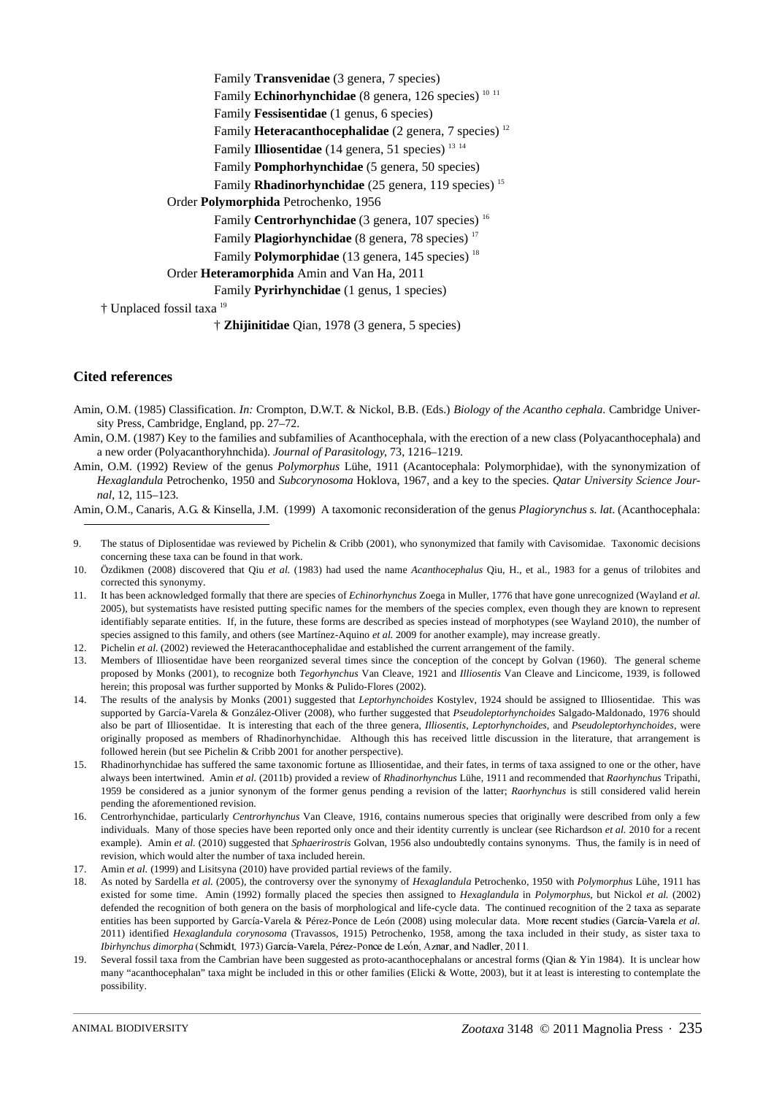Family **Transvenidae** (3 genera, 7 species) Family **Echinorhynchidae** (8 genera, 126 species)<sup>10 11</sup> Family **Fessisentidae** (1 genus, 6 species) Family **Heteracanthocephalidae** (2 genera, 7 species) 12 Family **Illiosentidae** (14 genera, 51 species)<sup>13 14</sup> Family **Pomphorhynchidae** (5 genera, 50 species) Family **Rhadinorhynchidae** (25 genera, 119 species)<sup>15</sup> Order **Polymorphida** Petrochenko, 1956 Family **Centrorhynchidae** (3 genera, 107 species)<sup>16</sup> Family **Plagiorhynchidae** (8 genera, 78 species)<sup>17</sup> Family **Polymorphidae** (13 genera, 145 species)<sup>18</sup> Order **Heteramorphida** Amin and Van Ha, 2011 Family **Pyrirhynchidae** (1 genus, 1 species) † Unplaced fossil taxa 19 † **Zhijinitidae** Qian, 1978 (3 genera, 5 species)

## **Cited references**

- Amin, O.M. (1985) Classification. *In:* Crompton, D.W.T. & Nickol, B.B. (Eds.) *Biology of the Acantho cephala*. Cambridge University Press, Cambridge, England, pp. 27–72.
- Amin, O.M. (1987) Key to the families and subfamilies of Acanthocephala, with the erection of a new class (Polyacanthocephala) and a new order (Polyacanthoryhnchida). *Journal of Parasitology*, 73, 1216–1219.
- Amin, O.M. (1992) Review of the genus *Polymorphus* Lühe, 1911 (Acantocephala: Polymorphidae), with the synonymization of *Hexaglandula* Petrochenko, 1950 and *Subcorynosoma* Hoklova, 1967, and a key to the species. *Qatar University Science Journal*, 12, 115–123.

Amin, O.M., Canaris, A.G. & Kinsella, J.M. (1999) A taxomonic reconsideration of the genus *Plagiorynchus s. lat*. (Acanthocephala:

- 9. The status of Diplosentidae was reviewed by Pichelin & Cribb (2001), who synonymized that family with Cavisomidae. Taxonomic decisions concerning these taxa can be found in that work.
- 10. Özdikmen (2008) discovered that Qiu *et al.* (1983) had used the name *Acanthocephalus* Qiu, H., et al., 1983 for a genus of trilobites and corrected this synonymy.
- 11. It has been acknowledged formally that there are species of *Echinorhynchus* Zoega in Muller, 1776 that have gone unrecognized (Wayland *et al.* 2005), but systematists have resisted putting specific names for the members of the species complex, even though they are known to represent identifiably separate entities. If, in the future, these forms are described as species instead of morphotypes (see Wayland 2010), the number of species assigned to this family, and others (see Martínez-Aquino *et al.* 2009 for another example), may increase greatly.
- 12. Pichelin *et al.* (2002) reviewed the Heteracanthocephalidae and established the current arrangement of the family.
- 13. Members of Illiosentidae have been reorganized several times since the conception of the concept by Golvan (1960). The general scheme proposed by Monks (2001), to recognize both *Tegorhynchus* Van Cleave, 1921 and *Illiosentis* Van Cleave and Lincicome, 1939, is followed herein; this proposal was further supported by Monks & Pulido-Flores (2002).
- 14. The results of the analysis by Monks (2001) suggested that *Leptorhynchoides* Kostylev, 1924 should be assigned to Illiosentidae. This was supported by García-Varela & González-Oliver (2008), who further suggested that *Pseudoleptorhynchoides* Salgado-Maldonado, 1976 should also be part of Illiosentidae. It is interesting that each of the three genera, *Illiosentis*, *Leptorhynchoides*, and *Pseudoleptorhynchoides*, were originally proposed as members of Rhadinorhynchidae. Although this has received little discussion in the literature, that arrangement is followed herein (but see Pichelin & Cribb 2001 for another perspective).
- 15. Rhadinorhynchidae has suffered the same taxonomic fortune as Illiosentidae, and their fates, in terms of taxa assigned to one or the other, have always been intertwined. Amin *et al.* (2011b) provided a review of *Rhadinorhynchus* Lühe, 1911 and recommended that *Raorhynchus* Tripathi, 1959 be considered as a junior synonym of the former genus pending a revision of the latter; *Raorhynchus* is still considered valid herein pending the aforementioned revision.
- 16. Centrorhynchidae, particularly *Centrorhynchus* Van Cleave, 1916, contains numerous species that originally were described from only a few individuals. Many of those species have been reported only once and their identity currently is unclear (see Richardson *et al.* 2010 for a recent example). Amin *et al.* (2010) suggested that *Sphaerirostris* Golvan, 1956 also undoubtedly contains synonyms. Thus, the family is in need of revision, which would alter the number of taxa included herein.
- 17. Amin *et al.* (1999) and Lisitsyna (2010) have provided partial reviews of the family.
- 18. As noted by Sardella *et al.* (2005), the controversy over the synonymy of *Hexaglandula* Petrochenko, 1950 with *Polymorphus* Lühe, 1911 has existed for some time. Amin (1992) formally placed the species then assigned to *Hexaglandula* in *Polymorphus*, but Nickol *et al.* (2002) defended the recognition of both genera on the basis of morphological and life-cycle data. The continued recognition of the 2 taxa as separate entities has been supported by García-Varela & Pérez-Ponce de León (2008) using molecular data. More recent studies (García-Varela et al. entities has been supported by García-Varela & Pérez-Ponce de León (2008) using molecular data. More recent studies (García-Varela *et al.* 2011) identified *Hexaglandula corynosoma* (Travassos, 1915) Petrochenko, 1958, am 2011) identified *Hexaglandula corynosoma* (Travassos, 1915) Petrochenko, 1958, among the taxa included in their study, as sister taxa to *Ibirhynchus dimorpha*
- (Schmidt) met the Cambrian have been suggested as proto-acanthocephalans or ancestral form<br>In" taxa might be included in this or other families (Elicki & Wotte, 2003), but it many "acanthocephalan" taxa might be included in this or other families (Elicki & Wotte, 2003), but it at least is interesting to contemplate the possibility.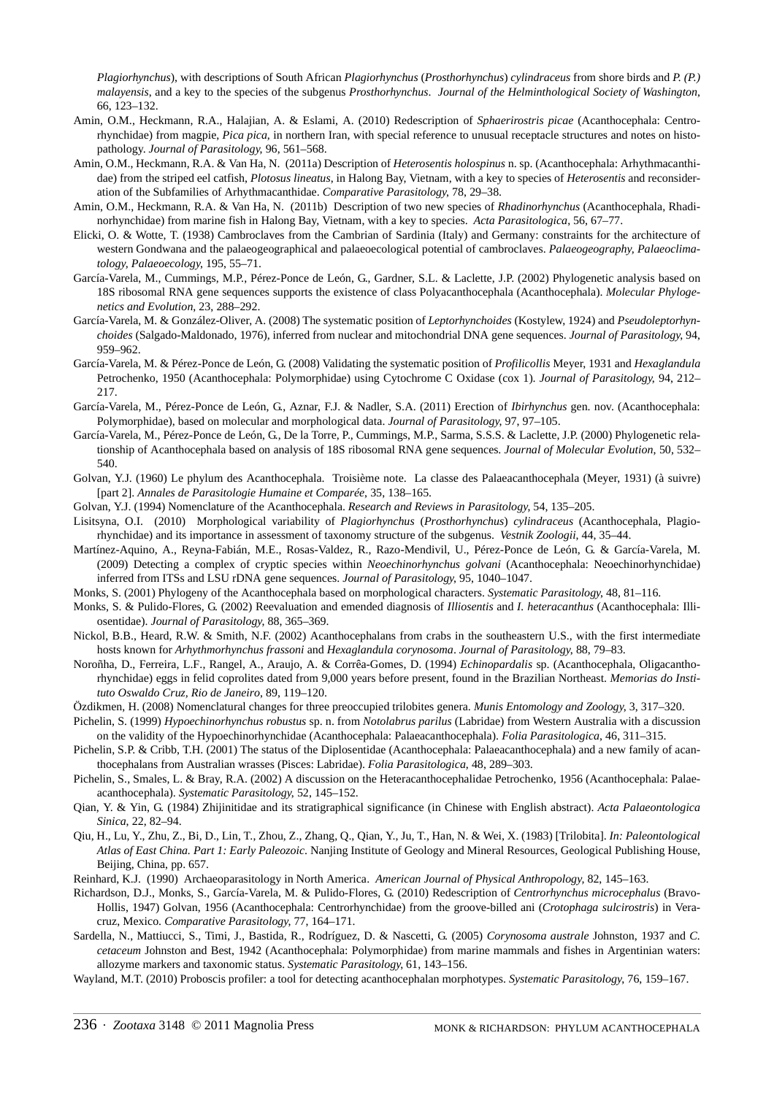*Plagiorhynchus*), with descriptions of South African *Plagiorhynchus* (*Prosthorhynchus*) *cylindraceus* from shore birds and *P. (P.) malayensis*, and a key to the species of the subgenus *Prosthorhynchus*. *Journal of the Helminthological Society of Washington*, 66, 123–132.

- Amin, O.M., Heckmann, R.A., Halajian, A. & Eslami, A. (2010) Redescription of *Sphaerirostris picae* (Acanthocephala: Centrorhynchidae) from magpie, *Pica pica*, in northern Iran, with special reference to unusual receptacle structures and notes on histopathology. *Journal of Parasitology*, 96, 561–568.
- Amin, O.M., Heckmann, R.A. & Van Ha, N. (2011a) Description of *Heterosentis holospinus* n. sp. (Acanthocephala: Arhythmacanthidae) from the striped eel catfish, *Plotosus lineatus*, in Halong Bay, Vietnam, with a key to species of *Heterosentis* and reconsideration of the Subfamilies of Arhythmacanthidae. *Comparative Parasitology*, 78, 29–38.
- Amin, O.M., Heckmann, R.A. & Van Ha, N. (2011b) Description of two new species of *Rhadinorhynchus* (Acanthocephala, Rhadinorhynchidae) from marine fish in Halong Bay, Vietnam, with a key to species. *Acta Parasitologica*, 56, 67–77.
- Elicki, O. & Wotte, T. (1938) Cambroclaves from the Cambrian of Sardinia (Italy) and Germany: constraints for the architecture of western Gondwana and the palaeogeographical and palaeoecological potential of cambroclaves. *Palaeogeography, Palaeoclimatology, Palaeoecology*, 195, 55–71.
- García-Varela, M., Cummings, M.P., Pérez-Ponce de León, G., Gardner, S.L. & Laclette, J.P. (2002) Phylogenetic analysis based on 18S ribosomal RNA gene sequences supports the existence of class Polyacanthocephala (Acanthocephala). *Molecular Phylogenetics and Evolution*, 23, 288–292.
- García-Varela, M. & González-Oliver, A. (2008) The systematic position of *Leptorhynchoides* (Kostylew, 1924) and *Pseudoleptorhynchoides* (Salgado-Maldonado, 1976), inferred from nuclear and mitochondrial DNA gene sequences. *Journal of Parasitology*, 94, 959–962.
- García-Varela, M. & Pérez-Ponce de León, G. (2008) Validating the systematic position of *Profilicollis* Meyer, 1931 and *Hexaglandula* Petrochenko, 1950 (Acanthocephala: Polymorphidae) using Cytochrome C Oxidase (cox 1). *Journal of Parasitology*, 94, 212– 217.
- García-Varela, M., Pérez-Ponce de León, G., Aznar, F.J. & Nadler, S.A. (2011) Erection of *Ibirhynchus* gen. nov. (Acanthocephala: Polymorphidae), based on molecular and morphological data. *Journal of Parasitology*, 97, 97–105.
- García-Varela, M., Pérez-Ponce de León, G., De la Torre, P., Cummings, M.P., Sarma, S.S.S. & Laclette, J.P. (2000) Phylogenetic relationship of Acanthocephala based on analysis of 18S ribosomal RNA gene sequences. *Journal of Molecular Evolution*, 50, 532– 540.
- Golvan, Y.J. (1960) Le phylum des Acanthocephala. Troisième note. La classe des Palaeacanthocephala (Meyer, 1931) (à suivre) [part 2]. *Annales de Parasitologie Humaine et Comparée*, 35, 138–165.
- Golvan, Y.J. (1994) Nomenclature of the Acanthocephala. *Research and Reviews in Parasitology*, 54, 135–205.
- Lisitsyna, O.I. (2010) Morphological variability of *Plagiorhynchus* (*Prosthorhynchus*) *cylindraceus* (Acanthocephala, Plagiorhynchidae) and its importance in assessment of taxonomy structure of the subgenus. *Vestnik Zoologii*, 44, 35–44.
- Martínez-Aquino, A., Reyna-Fabián, M.E., Rosas-Valdez, R., Razo-Mendivil, U., Pérez-Ponce de León, G. & García-Varela, M. (2009) Detecting a complex of cryptic species within *Neoechinorhynchus golvani* (Acanthocephala: Neoechinorhynchidae) inferred from ITSs and LSU rDNA gene sequences. *Journal of Parasitology*, 95, 1040–1047.
- Monks, S. (2001) Phylogeny of the Acanthocephala based on morphological characters. *Systematic Parasitology*, 48, 81–116.
- Monks, S. & Pulido-Flores, G. (2002) Reevaluation and emended diagnosis of *Illiosentis* and *I. heteracanthus* (Acanthocephala: Illiosentidae). *Journal of Parasitology*, 88, 365–369.
- Nickol, B.B., Heard, R.W. & Smith, N.F. (2002) Acanthocephalans from crabs in the southeastern U.S., with the first intermediate hosts known for *Arhythmorhynchus frassoni* and *Hexaglandula corynosoma*. *Journal of Parasitology*, 88, 79–83.
- Noroñha, D., Ferreira, L.F., Rangel, A., Araujo, A. & Corrêa-Gomes, D. (1994) *Echinopardalis* sp. (Acanthocephala, Oligacanthorhynchidae) eggs in felid coprolites dated from 9,000 years before present, found in the Brazilian Northeast. *Memorias do Instituto Oswaldo Cruz, Rio de Janeiro*, 89, 119–120.
- Özdikmen, H. (2008) Nomenclatural changes for three preoccupied trilobites genera. *Munis Entomology and Zoology*, 3, 317–320.
- Pichelin, S. (1999) *Hypoechinorhynchus robustus* sp. n. from *Notolabrus parilus* (Labridae) from Western Australia with a discussion on the validity of the Hypoechinorhynchidae (Acanthocephala: Palaeacanthocephala). *Folia Parasitologica*, 46, 311–315.
- Pichelin, S.P. & Cribb, T.H. (2001) The status of the Diplosentidae (Acanthocephala: Palaeacanthocephala) and a new family of acanthocephalans from Australian wrasses (Pisces: Labridae). *Folia Parasitologica*, 48, 289–303.
- Pichelin, S., Smales, L. & Bray, R.A. (2002) A discussion on the Heteracanthocephalidae Petrochenko, 1956 (Acanthocephala: Palaeacanthocephala). *Systematic Parasitology*, 52, 145–152.
- Qian, Y. & Yin, G. (1984) Zhijinitidae and its stratigraphical significance (in Chinese with English abstract). *Acta Palaeontologica Sinica*, 22, 82–94.
- Qiu, H., Lu, Y., Zhu, Z., Bi, D., Lin, T., Zhou, Z., Zhang, Q., Qian, Y., Ju, T., Han, N. & Wei, X. (1983) [Trilobita]. *In: Paleontological Atlas of East China. Part 1: Early Paleozoic*. Nanjing Institute of Geology and Mineral Resources, Geological Publishing House, Beijing, China, pp. 657.
- Reinhard, K.J. (1990) Archaeoparasitology in North America. *American Journal of Physical Anthropology,* 82, 145–163.
- Richardson, D.J., Monks, S., García-Varela, M. & Pulido-Flores, G. (2010) Redescription of *Centrorhynchus microcephalus* (Bravo-Hollis, 1947) Golvan, 1956 (Acanthocephala: Centrorhynchidae) from the groove-billed ani (*Crotophaga sulcirostris*) in Veracruz, Mexico. *Comparative Parasitology*, 77, 164–171.
- Sardella, N., Mattiucci, S., Timi, J., Bastida, R., Rodríguez, D. & Nascetti, G. (2005) *Corynosoma australe* Johnston, 1937 and *C. cetaceum* Johnston and Best, 1942 (Acanthocephala: Polymorphidae) from marine mammals and fishes in Argentinian waters: allozyme markers and taxonomic status. *Systematic Parasitology*, 61, 143–156.
- Wayland, M.T. (2010) Proboscis profiler: a tool for detecting acanthocephalan morphotypes. *Systematic Parasitology*, 76, 159–167.